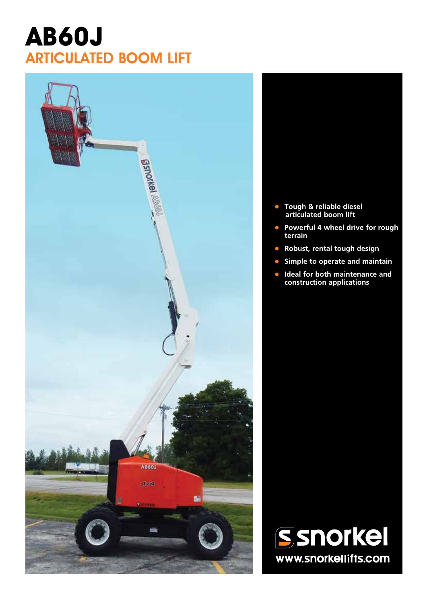# **AB60J** ARTICULATED BOOM LIFT



- **• Tough & reliable diesel articulated boom lift**
- **• Powerful 4 wheel drive for rough terrain**
- **• Robust, rental tough design**
- **• Simple to operate and maintain**
- **• Ideal for both maintenance and construction applications**